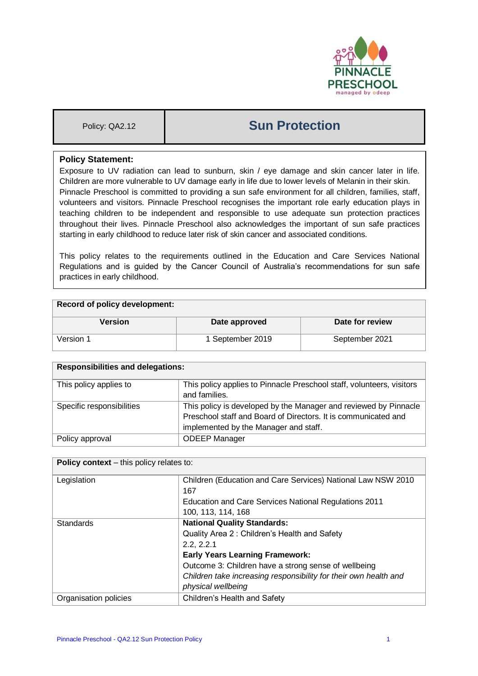

# Policy: QA2.12 **Sun Protection**

### **Policy Statement:**

Exposure to UV radiation can lead to sunburn, skin / eye damage and skin cancer later in life. Children are more vulnerable to UV damage early in life due to lower levels of Melanin in their skin. Pinnacle Preschool is committed to providing a sun safe environment for all children, families, staff, volunteers and visitors. Pinnacle Preschool recognises the important role early education plays in teaching children to be independent and responsible to use adequate sun protection practices throughout their lives. Pinnacle Preschool also acknowledges the important of sun safe practices starting in early childhood to reduce later risk of skin cancer and associated conditions.

This policy relates to the requirements outlined in the Education and Care Services National Regulations and is guided by the Cancer Council of Australia's recommendations for sun safe practices in early childhood.

| Record of policy development: |                  |                 |  |
|-------------------------------|------------------|-----------------|--|
| Version                       | Date approved    | Date for review |  |
| Version 1                     | 1 September 2019 | September 2021  |  |

| <b>Responsibilities and delegations:</b> |                                                                       |  |
|------------------------------------------|-----------------------------------------------------------------------|--|
| This policy applies to                   | This policy applies to Pinnacle Preschool staff, volunteers, visitors |  |
|                                          | and families.                                                         |  |
| Specific responsibilities                | This policy is developed by the Manager and reviewed by Pinnacle      |  |
|                                          | Preschool staff and Board of Directors. It is communicated and        |  |
|                                          | implemented by the Manager and staff.                                 |  |
| Policy approval                          | <b>ODEEP Manager</b>                                                  |  |

| <b>Policy context</b> – this policy relates to: |                                                                  |  |
|-------------------------------------------------|------------------------------------------------------------------|--|
| Legislation                                     | Children (Education and Care Services) National Law NSW 2010     |  |
|                                                 | 167                                                              |  |
|                                                 | Education and Care Services National Regulations 2011            |  |
|                                                 | 100, 113, 114, 168                                               |  |
| <b>Standards</b>                                | <b>National Quality Standards:</b>                               |  |
|                                                 | Quality Area 2: Children's Health and Safety                     |  |
|                                                 | 2.2, 2.2.1                                                       |  |
|                                                 | <b>Early Years Learning Framework:</b>                           |  |
|                                                 | Outcome 3: Children have a strong sense of wellbeing             |  |
|                                                 | Children take increasing responsibility for their own health and |  |
|                                                 | physical wellbeing                                               |  |
| Organisation policies                           | Children's Health and Safety                                     |  |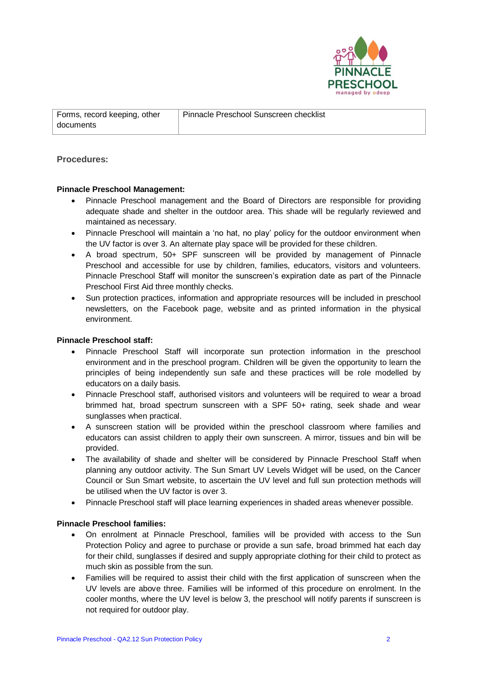

Pinnacle Preschool Sunscreen checklist

## **Procedures:**

#### **Pinnacle Preschool Management:**

- Pinnacle Preschool management and the Board of Directors are responsible for providing adequate shade and shelter in the outdoor area. This shade will be regularly reviewed and maintained as necessary.
- Pinnacle Preschool will maintain a 'no hat, no play' policy for the outdoor environment when the UV factor is over 3. An alternate play space will be provided for these children.
- A broad spectrum, 50+ SPF sunscreen will be provided by management of Pinnacle Preschool and accessible for use by children, families, educators, visitors and volunteers. Pinnacle Preschool Staff will monitor the sunscreen's expiration date as part of the Pinnacle Preschool First Aid three monthly checks.
- Sun protection practices, information and appropriate resources will be included in preschool newsletters, on the Facebook page, website and as printed information in the physical environment.

#### **Pinnacle Preschool staff:**

- Pinnacle Preschool Staff will incorporate sun protection information in the preschool environment and in the preschool program. Children will be given the opportunity to learn the principles of being independently sun safe and these practices will be role modelled by educators on a daily basis.
- Pinnacle Preschool staff, authorised visitors and volunteers will be required to wear a broad brimmed hat, broad spectrum sunscreen with a SPF 50+ rating, seek shade and wear sunglasses when practical.
- A sunscreen station will be provided within the preschool classroom where families and educators can assist children to apply their own sunscreen. A mirror, tissues and bin will be provided.
- The availability of shade and shelter will be considered by Pinnacle Preschool Staff when planning any outdoor activity. The Sun Smart UV Levels Widget will be used, on the Cancer Council or Sun Smart website, to ascertain the UV level and full sun protection methods will be utilised when the UV factor is over 3.
- Pinnacle Preschool staff will place learning experiences in shaded areas whenever possible.

#### **Pinnacle Preschool families:**

- On enrolment at Pinnacle Preschool, families will be provided with access to the Sun Protection Policy and agree to purchase or provide a sun safe, broad brimmed hat each day for their child, sunglasses if desired and supply appropriate clothing for their child to protect as much skin as possible from the sun.
- Families will be required to assist their child with the first application of sunscreen when the UV levels are above three. Families will be informed of this procedure on enrolment. In the cooler months, where the UV level is below 3, the preschool will notify parents if sunscreen is not required for outdoor play.